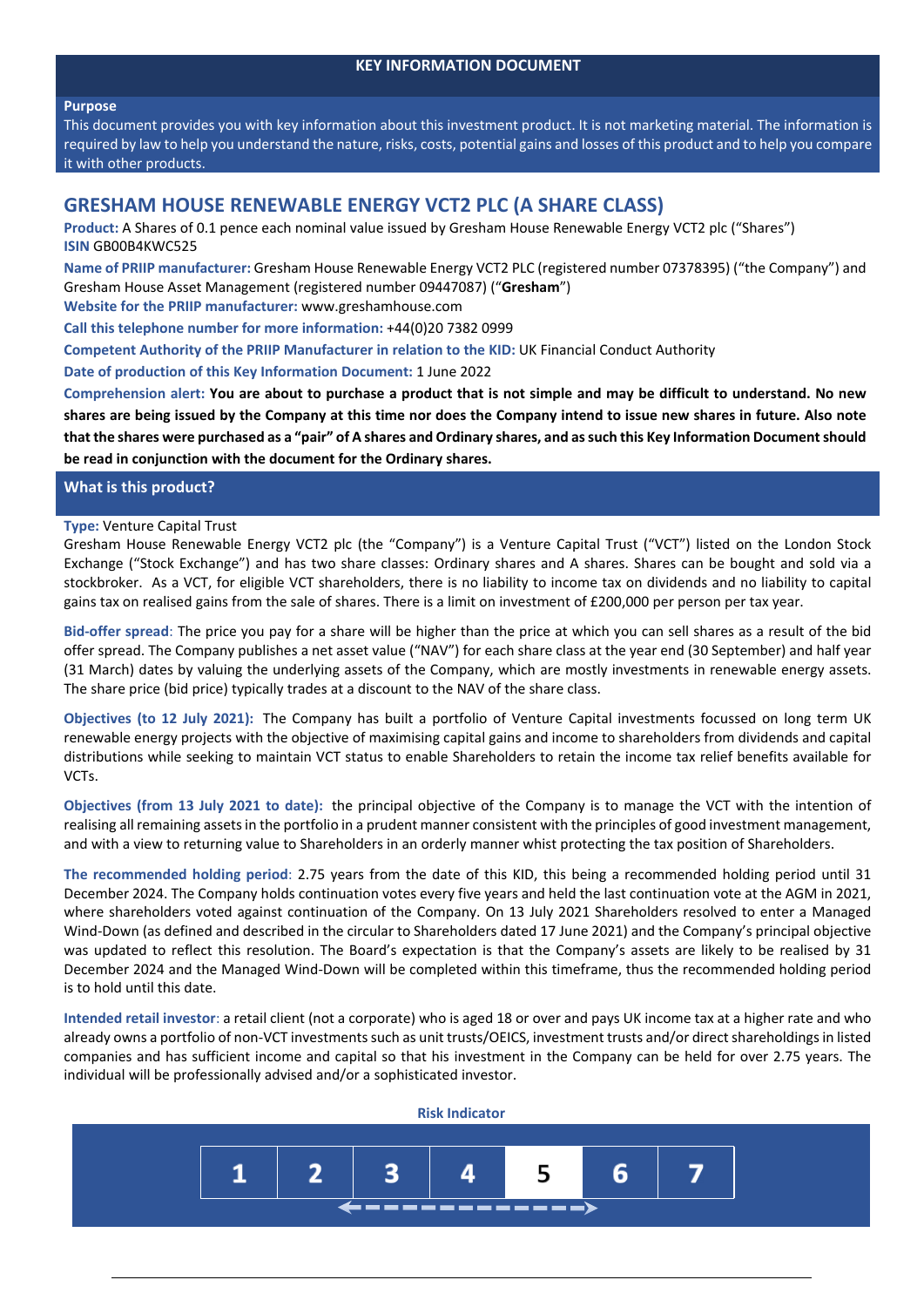## **KEY INFORMATION DOCUMENT**

### **Purpose**

This document provides you with key information about this investment product. It is not marketing material. The information is required by law to help you understand the nature, risks, costs, potential gains and losses of this product and to help you compare it with other products.

# **GRESHAM HOUSE RENEWABLE ENERGY VCT2 PLC (A SHARE CLASS)**

**Product:** A Shares of 0.1 pence each nominal value issued by Gresham House Renewable Energy VCT2 plc ("Shares") **ISIN** GB00B4KWC525

**Name of PRIIP manufacturer:** Gresham House Renewable Energy VCT2 PLC (registered number 07378395) ("the Company") and Gresham House Asset Management (registered number 09447087) ("**Gresham**")

**Website for the PRIIP manufacturer:** www.greshamhouse.com

**Call this telephone number for more information:** +44(0)20 7382 0999

**Competent Authority of the PRIIP Manufacturer in relation to the KID:** UK Financial Conduct Authority

**Date of production of this Key Information Document:** 1 June 2022

Comprehension alert: You are about to purchase a product that is not simple and may be difficult to understand. No new shares are being issued by the Company at this time nor does the Company intend to issue new shares in future. Also note that the shares were purchased as a "pair" of A shares and Ordinary shares, and as such this Key Information Document should **be read in conjunction with the document for the Ordinary shares.**

## **What is this product?**

## **Type:** Venture Capital Trust

Gresham House Renewable Energy VCT2 plc (the "Company") is a Venture Capital Trust ("VCT") listed on the London Stock Exchange ("Stock Exchange") and has two share classes: Ordinary shares and A shares. Shares can be bought and sold via a stockbroker. As a VCT, for eligible VCT shareholders, there is no liability to income tax on dividends and no liability to capital gains tax on realised gains from the sale of shares. There is a limit on investment of £200,000 per person per tax year.

**Bid‐offer spread**: The price you pay for a share will be higher than the price at which you can sell shares as a result of the bid offer spread. The Company publishes a net asset value ("NAV") for each share class at the year end (30 September) and half year (31 March) dates by valuing the underlying assets of the Company, which are mostly investments in renewable energy assets. The share price (bid price) typically trades at a discount to the NAV of the share class.

**Objectives (to 12 July 2021):** The Company has built a portfolio of Venture Capital investments focussed on long term UK renewable energy projects with the objective of maximising capital gains and income to shareholders from dividends and capital distributions while seeking to maintain VCT status to enable Shareholders to retain the income tax relief benefits available for VCTs.

**Objectives (from 13 July 2021 to date):** the principal objective of the Company is to manage the VCT with the intention of realising all remaining assetsin the portfolio in a prudent manner consistent with the principles of good investment management, and with a view to returning value to Shareholders in an orderly manner whist protecting the tax position of Shareholders.

**The recommended holding period**: 2.75 years from the date of this KID, this being a recommended holding period until 31 December 2024. The Company holds continuation votes every five years and held the last continuation vote at the AGM in 2021, where shareholders voted against continuation of the Company. On 13 July 2021 Shareholders resolved to enter a Managed Wind-Down (as defined and described in the circular to Shareholders dated 17 June 2021) and the Company's principal objective was updated to reflect this resolution. The Board's expectation is that the Company's assets are likely to be realised by 31 December 2024 and the Managed Wind‐Down will be completed within this timeframe, thus the recommended holding period is to hold until this date.

**Intended retail investor**: a retail client (not a corporate) who is aged 18 or over and pays UK income tax at a higher rate and who already owns a portfolio of non-VCT investments such as unit trusts/OEICS, investment trusts and/or direct shareholdings in listed companies and has sufficient income and capital so that his investment in the Company can be held for over 2.75 years. The individual will be professionally advised and/or a sophisticated investor.

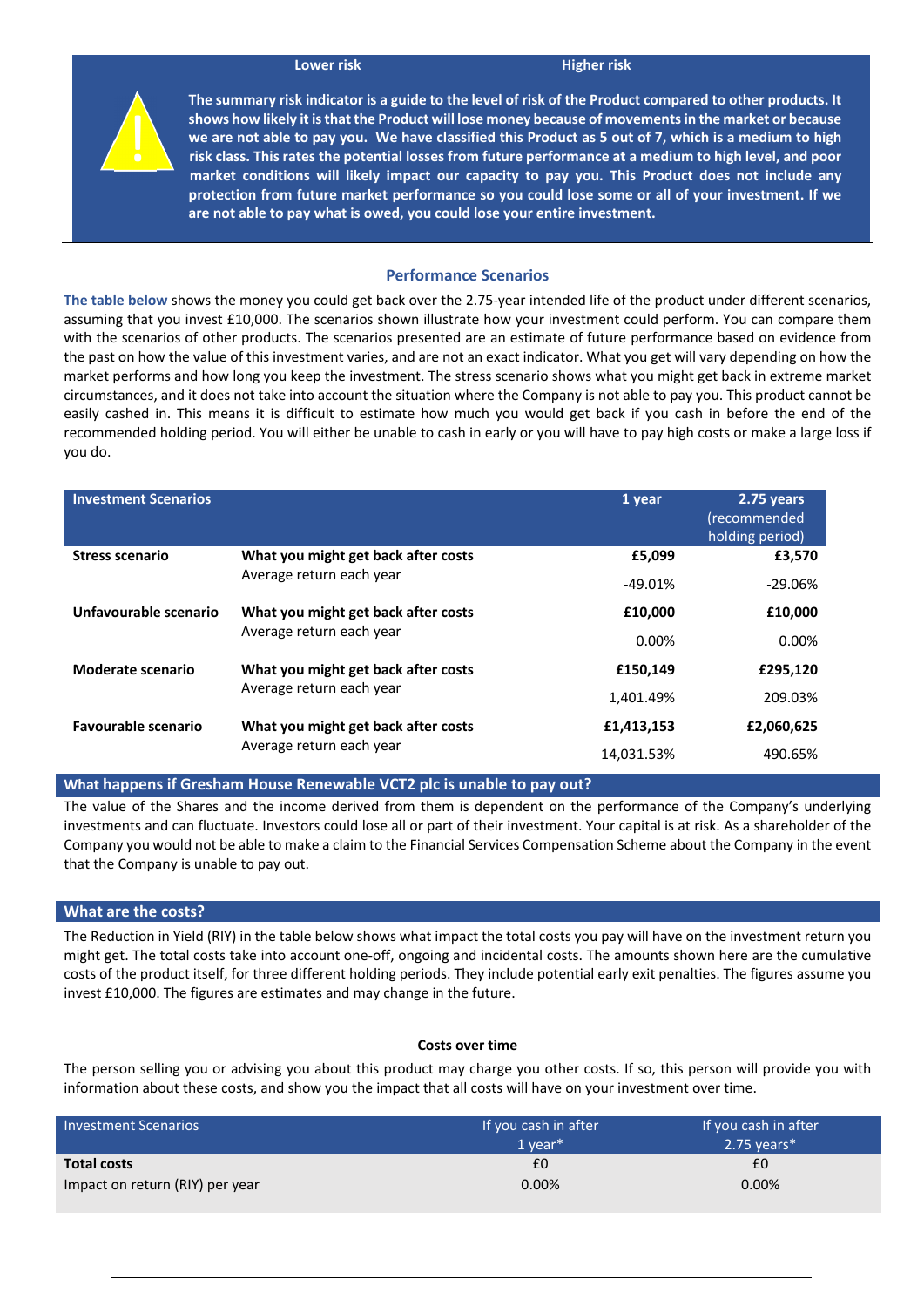#### **Lower** risk **Higher risk**



The summary risk indicator is a guide to the level of risk of the Product compared to other products. It **shows how likely it isthat the Product will lose money because of movementsin the market or because** we are not able to pay you. We have classified this Product as 5 out of 7, which is a medium to high risk class. This rates the potential losses from future performance at a medium to high level, and poor **market conditions will likely impact our capacity to pay you. This Product does not include any protection from future market performance so you could lose some or all of your investment. If we are not able to pay what is owed, you could lose your entire investment.** 

#### **Performance Scenarios**

**The table below** shows the money you could get back over the 2.75‐year intended life of the product under different scenarios, assuming that you invest £10,000. The scenarios shown illustrate how your investment could perform. You can compare them with the scenarios of other products. The scenarios presented are an estimate of future performance based on evidence from the past on how the value of this investment varies, and are not an exact indicator. What you get will vary depending on how the market performs and how long you keep the investment. The stress scenario shows what you might get back in extreme market circumstances, and it does not take into account the situation where the Company is not able to pay you. This product cannot be easily cashed in. This means it is difficult to estimate how much you would get back if you cash in before the end of the recommended holding period. You will either be unable to cash in early or you will have to pay high costs or make a large loss if you do.

| <b>Investment Scenarios</b> |                                                                 | 1 year     | 2.75 years<br>(recommended<br>holding period) |
|-----------------------------|-----------------------------------------------------------------|------------|-----------------------------------------------|
| <b>Stress scenario</b>      | What you might get back after costs<br>Average return each year | £5,099     | £3,570                                        |
|                             |                                                                 | $-49.01%$  | -29.06%                                       |
| Unfavourable scenario       | What you might get back after costs<br>Average return each year | £10,000    | £10,000                                       |
|                             |                                                                 | $0.00\%$   | $0.00\%$                                      |
| Moderate scenario           | What you might get back after costs<br>Average return each year | £150.149   | £295.120                                      |
|                             |                                                                 | 1.401.49%  | 209.03%                                       |
| <b>Favourable scenario</b>  | What you might get back after costs<br>Average return each year | £1,413,153 | £2,060,625                                    |
|                             |                                                                 | 14.031.53% | 490.65%                                       |

**What happens if Gresham House Renewable VCT2 plc is unable to pay out?**

The value of the Shares and the income derived from them is dependent on the performance of the Company's underlying investments and can fluctuate. Investors could lose all or part of their investment. Your capital is at risk. As a shareholder of the Company you would not be able to make a claim to the Financial Services Compensation Scheme about the Company in the event that the Company is unable to pay out.

## **What are the costs?**

The Reduction in Yield (RIY) in the table below shows what impact the total costs you pay will have on the investment return you might get. The total costs take into account one‐off, ongoing and incidental costs. The amounts shown here are the cumulative costs of the product itself, for three different holding periods. They include potential early exit penalties. The figures assume you invest £10,000. The figures are estimates and may change in the future.

#### **Costs over time**

The person selling you or advising you about this product may charge you other costs. If so, this person will provide you with information about these costs, and show you the impact that all costs will have on your investment over time.

| <b>Investment Scenarios</b>     | If you cash in after<br>$1$ vear* | If you cash in after<br>$2.75$ years* |
|---------------------------------|-----------------------------------|---------------------------------------|
| <b>Total costs</b>              | £0                                | £0                                    |
| Impact on return (RIY) per year | $0.00\%$                          | $0.00\%$                              |